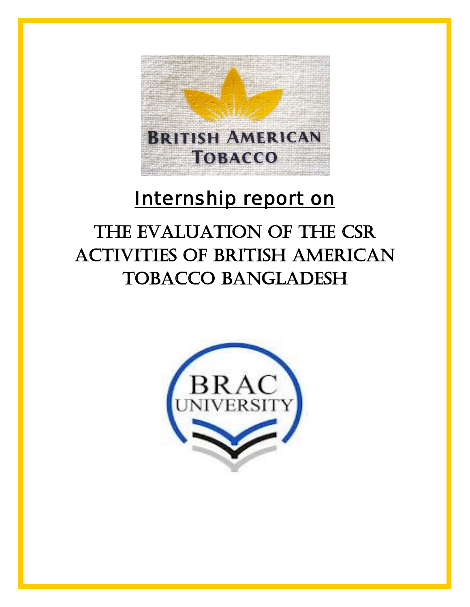

# Internship report on

# THE EVALUATION OF THE CSR activities of British American TOBACCO BANGLADESH

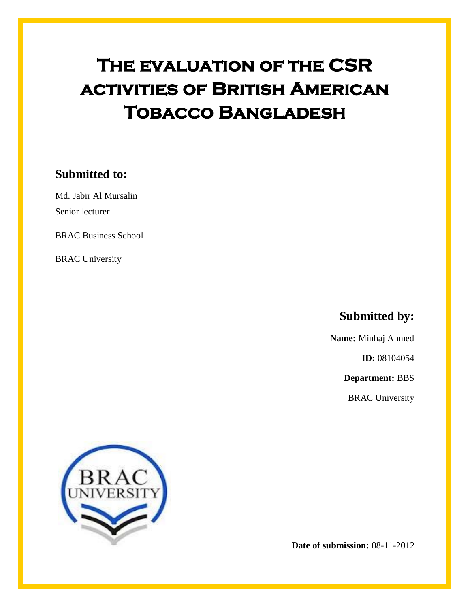# **The evaluation of the CSR activities of British American Tobacco Bangladesh**

### **Submitted to:**

Md. Jabir Al Mursalin Senior lecturer

BRAC Business School

BRAC University

**Submitted by:**

**Name:** Minhaj Ahmed

**ID:** 08104054

**Department:** BBS

BRAC University



**Date of submission:** 08-11-2012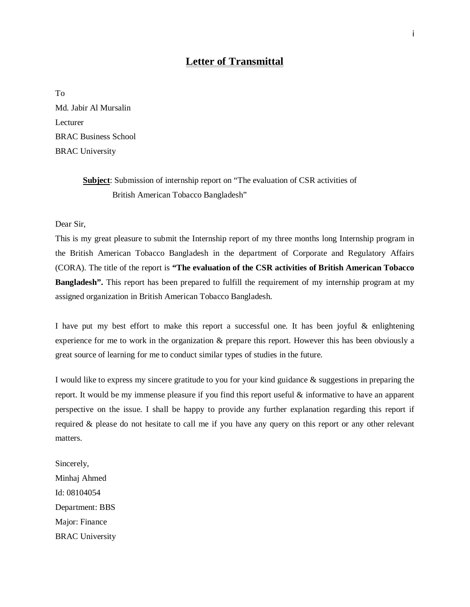#### **Letter of Transmittal**

To Md. Jabir Al Mursalin Lecturer BRAC Business School BRAC University

> Subject: Submission of internship report on "The evaluation of CSR activities of British American Tobacco Bangladesh"

Dear Sir,

This is my great pleasure to submit the Internship report of my three months long Internship program in the British American Tobacco Bangladesh in the department of Corporate and Regulatory Affairs (CORA). The title of the report is **"The evaluation of the CSR activities of British American Tobacco Bangladesh".** This report has been prepared to fulfill the requirement of my internship program at my assigned organization in British American Tobacco Bangladesh.

I have put my best effort to make this report a successful one. It has been joyful & enlightening experience for me to work in the organization & prepare this report. However this has been obviously a great source of learning for me to conduct similar types of studies in the future.

I would like to express my sincere gratitude to you for your kind guidance & suggestions in preparing the report. It would be my immense pleasure if you find this report useful & informative to have an apparent perspective on the issue. I shall be happy to provide any further explanation regarding this report if required & please do not hesitate to call me if you have any query on this report or any other relevant matters.

Sincerely, Minhaj Ahmed Id: 08104054 Department: BBS Major: Finance BRAC University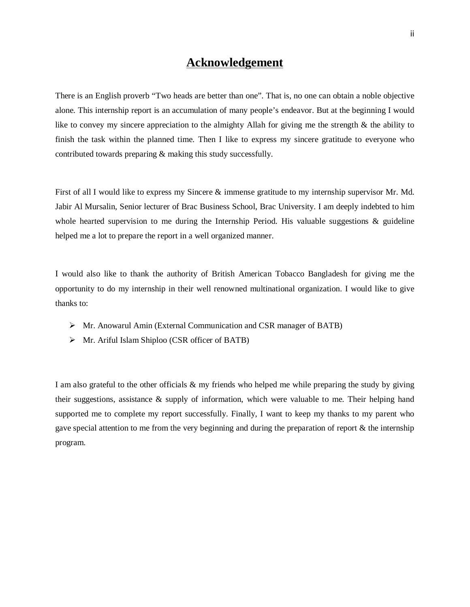### **Acknowledgement**

There is an English proverb "Two heads are better than one". That is, no one can obtain a noble objective alone. This internship report is an accumulation of many people's endeavor. But at the beginning I would like to convey my sincere appreciation to the almighty Allah for giving me the strength & the ability to finish the task within the planned time. Then I like to express my sincere gratitude to everyone who contributed towards preparing & making this study successfully.

First of all I would like to express my Sincere & immense gratitude to my internship supervisor Mr. Md. Jabir Al Mursalin, Senior lecturer of Brac Business School, Brac University. I am deeply indebted to him whole hearted supervision to me during the Internship Period. His valuable suggestions  $\&$  guideline helped me a lot to prepare the report in a well organized manner.

I would also like to thank the authority of British American Tobacco Bangladesh for giving me the opportunity to do my internship in their well renowned multinational organization. I would like to give thanks to:

- Mr. Anowarul Amin (External Communication and CSR manager of BATB)
- $\triangleright$  Mr. Ariful Islam Shiploo (CSR officer of BATB)

I am also grateful to the other officials & my friends who helped me while preparing the study by giving their suggestions, assistance  $\&$  supply of information, which were valuable to me. Their helping hand supported me to complete my report successfully. Finally, I want to keep my thanks to my parent who gave special attention to me from the very beginning and during the preparation of report & the internship program.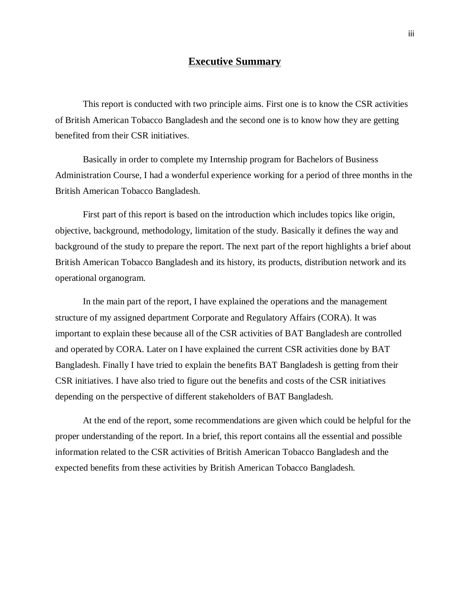#### **Executive Summary**

This report is conducted with two principle aims. First one is to know the CSR activities of British American Tobacco Bangladesh and the second one is to know how they are getting benefited from their CSR initiatives.

Basically in order to complete my Internship program for Bachelors of Business Administration Course, I had a wonderful experience working for a period of three months in the British American Tobacco Bangladesh.

First part of this report is based on the introduction which includes topics like origin, objective, background, methodology, limitation of the study. Basically it defines the way and background of the study to prepare the report. The next part of the report highlights a brief about British American Tobacco Bangladesh and its history, its products, distribution network and its operational organogram.

In the main part of the report, I have explained the operations and the management structure of my assigned department Corporate and Regulatory Affairs (CORA). It was important to explain these because all of the CSR activities of BAT Bangladesh are controlled and operated by CORA. Later on I have explained the current CSR activities done by BAT Bangladesh. Finally I have tried to explain the benefits BAT Bangladesh is getting from their CSR initiatives. I have also tried to figure out the benefits and costs of the CSR initiatives depending on the perspective of different stakeholders of BAT Bangladesh.

At the end of the report, some recommendations are given which could be helpful for the proper understanding of the report. In a brief, this report contains all the essential and possible information related to the CSR activities of British American Tobacco Bangladesh and the expected benefits from these activities by British American Tobacco Bangladesh.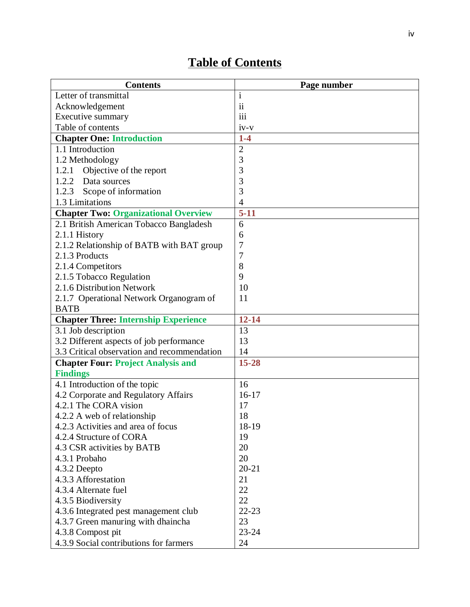### **Table of Contents**

| <b>Contents</b>                             | Page number    |
|---------------------------------------------|----------------|
| Letter of transmittal                       | $\mathbf{i}$   |
| Acknowledgement                             | $\mathbf{ii}$  |
| Executive summary                           | iii            |
| Table of contents                           | $iv-v$         |
| <b>Chapter One: Introduction</b>            | $1-4$          |
| 1.1 Introduction                            | $\mathfrak{2}$ |
| 1.2 Methodology                             | 3              |
| Objective of the report<br>1.2.1            | 3              |
| 1.2.2 Data sources                          | 3              |
| 1.2.3<br>Scope of information               | 3              |
| 1.3 Limitations                             | $\overline{4}$ |
| <b>Chapter Two: Organizational Overview</b> | $5 - 11$       |
| 2.1 British American Tobacco Bangladesh     | 6              |
| 2.1.1 History                               | 6              |
| 2.1.2 Relationship of BATB with BAT group   | 7              |
| 2.1.3 Products                              | 7              |
| 2.1.4 Competitors                           | 8              |
| 2.1.5 Tobacco Regulation                    | 9              |
| 2.1.6 Distribution Network                  | 10             |
| 2.1.7 Operational Network Organogram of     | 11             |
| <b>BATB</b>                                 |                |
| <b>Chapter Three: Internship Experience</b> | $12 - 14$      |
| 3.1 Job description                         | 13             |
| 3.2 Different aspects of job performance    | 13             |
| 3.3 Critical observation and recommendation | 14             |
| <b>Chapter Four: Project Analysis and</b>   | 15-28          |
| <b>Findings</b>                             |                |
| 4.1 Introduction of the topic               | 16             |
| 4.2 Corporate and Regulatory Affairs        | $16-17$        |
| 4.2.1 The CORA vision                       | 17             |
| 4.2.2 A web of relationship                 | 18             |
| 4.2.3 Activities and area of focus          | 18-19          |
| 4.2.4 Structure of CORA                     | 19             |
| 4.3 CSR activities by BATB                  | 20             |
| 4.3.1 Probaho                               | 20             |
| 4.3.2 Deepto                                | $20 - 21$      |
| 4.3.3 Afforestation                         | 21             |
| 4.3.4 Alternate fuel                        | 22             |
| 4.3.5 Biodiversity                          | 22             |
| 4.3.6 Integrated pest management club       | $22 - 23$      |
| 4.3.7 Green manuring with dhaincha          | 23             |
| 4.3.8 Compost pit                           | 23-24          |
| 4.3.9 Social contributions for farmers      | 24             |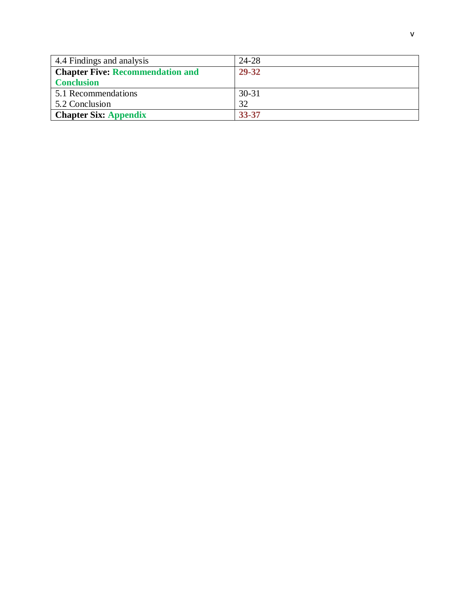| 4.4 Findings and analysis               | 24-28     |
|-----------------------------------------|-----------|
| <b>Chapter Five: Recommendation and</b> | 29-32     |
| <b>Conclusion</b>                       |           |
| 5.1 Recommendations                     | $30 - 31$ |
| 5.2 Conclusion                          | 32        |
| <b>Chapter Six: Appendix</b>            | 33-37     |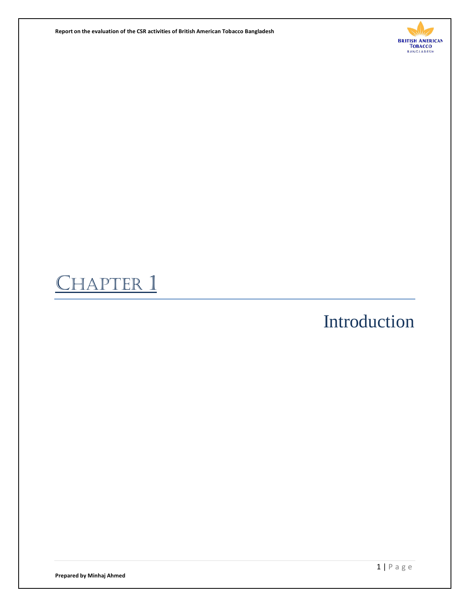**Report on the evaluation of the CSR activities of British American Tobacco Bangladesh** 



# HAPTER 1

# Introduction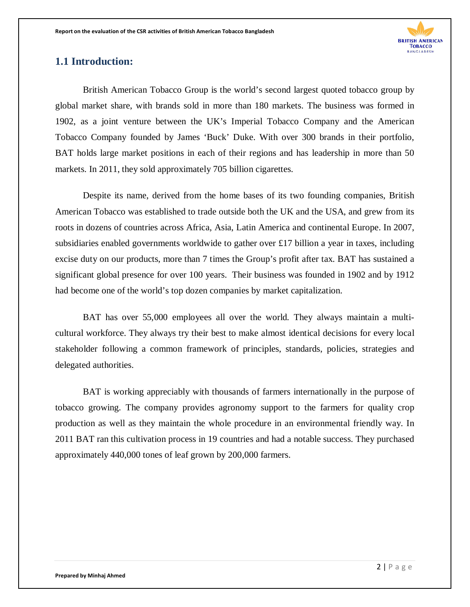

#### **1.1 Introduction:**

British American Tobacco Group is the world's second largest quoted tobacco group by global market share, with brands sold in more than 180 markets. The business was formed in 1902, as a joint venture between the UK's Imperial Tobacco Company and the American Tobacco Company founded by James 'Buck' Duke. With over 300 brands in their portfolio, BAT holds large market positions in each of their regions and has leadership in more than 50 markets. In 2011, they sold approximately 705 billion cigarettes.

Despite its name, derived from the home bases of its two founding companies, British American Tobacco was established to trade outside both the UK and the USA, and grew from its roots in dozens of countries across Africa, Asia, Latin America and continental Europe. In 2007, subsidiaries enabled governments worldwide to gather over £17 billion a year in taxes, including excise duty on our products, more than 7 times the Group's profit after tax. BAT has sustained a significant global presence for over 100 years. Their business was founded in 1902 and by 1912 had become one of the world's top dozen companies by market capitalization.

BAT has over 55,000 employees all over the world. They always maintain a multicultural workforce. They always try their best to make almost identical decisions for every local stakeholder following a common framework of principles, standards, policies, strategies and delegated authorities.

BAT is working appreciably with thousands of farmers internationally in the purpose of tobacco growing. The company provides agronomy support to the farmers for quality crop production as well as they maintain the whole procedure in an environmental friendly way. In 2011 BAT ran this cultivation process in 19 countries and had a notable success. They purchased approximately 440,000 tones of leaf grown by 200,000 farmers.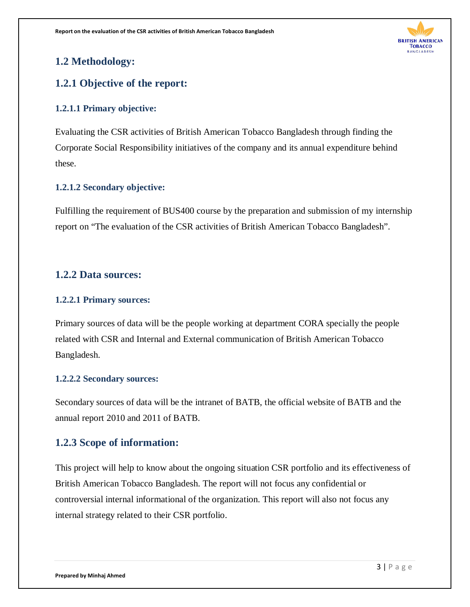

### **1.2 Methodology:**

### **1.2.1 Objective of the report:**

#### **1.2.1.1 Primary objective:**

Evaluating the CSR activities of British American Tobacco Bangladesh through finding the Corporate Social Responsibility initiatives of the company and its annual expenditure behind these.

#### **1.2.1.2 Secondary objective:**

Fulfilling the requirement of BUS400 course by the preparation and submission of my internship report on "The evaluation of the CSR activities of British American Tobacco Bangladesh".

### **1.2.2 Data sources:**

#### **1.2.2.1 Primary sources:**

Primary sources of data will be the people working at department CORA specially the people related with CSR and Internal and External communication of British American Tobacco Bangladesh.

#### **1.2.2.2 Secondary sources:**

Secondary sources of data will be the intranet of BATB, the official website of BATB and the annual report 2010 and 2011 of BATB.

#### **1.2.3 Scope of information:**

This project will help to know about the ongoing situation CSR portfolio and its effectiveness of British American Tobacco Bangladesh. The report will not focus any confidential or controversial internal informational of the organization. This report will also not focus any internal strategy related to their CSR portfolio.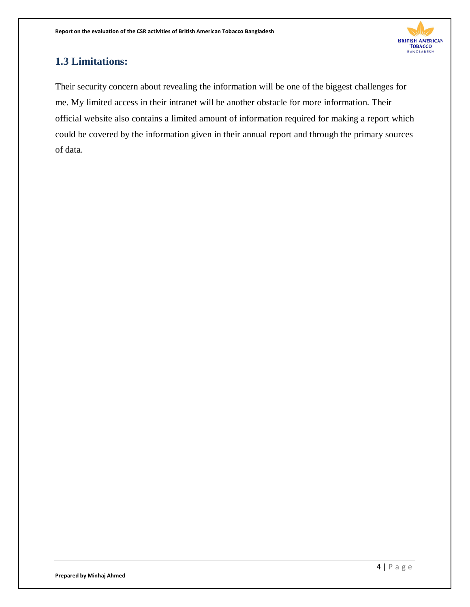

### **1.3 Limitations:**

Their security concern about revealing the information will be one of the biggest challenges for me. My limited access in their intranet will be another obstacle for more information. Their official website also contains a limited amount of information required for making a report which could be covered by the information given in their annual report and through the primary sources of data.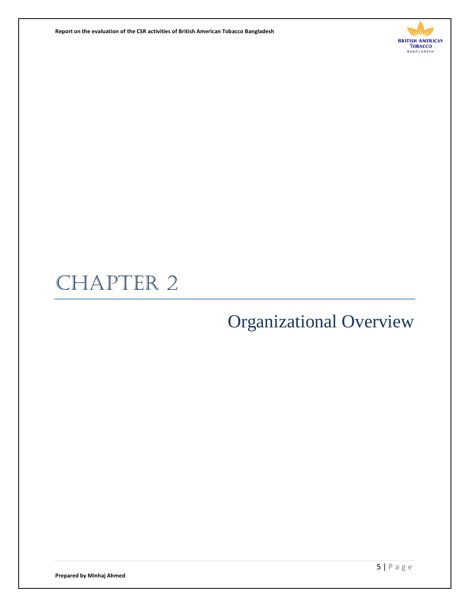**Report on the evaluation of the CSR activities of British American Tobacco Bangladesh** 



# CHAPTER 2

# Organizational Overview

**Prepared by Minhaj Ahmed**

5 | Page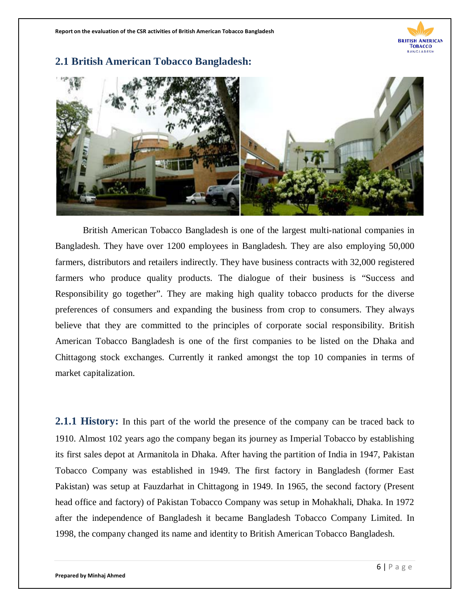

#### **2.1 British American Tobacco Bangladesh:**



British American Tobacco Bangladesh is one of the largest multi-national companies in Bangladesh. They have over 1200 employees in Bangladesh. They are also employing 50,000 farmers, distributors and retailers indirectly. They have business contracts with 32,000 registered farmers who produce quality products. The dialogue of their business is "Success and Responsibility go together". They are making high quality tobacco products for the diverse preferences of consumers and expanding the business from crop to consumers. They always believe that they are committed to the principles of corporate social responsibility. British American Tobacco Bangladesh is one of the first companies to be listed on the Dhaka and Chittagong stock exchanges. Currently it ranked amongst the top 10 companies in terms of market capitalization.

**2.1.1 History:** In this part of the world the presence of the company can be traced back to 1910. Almost 102 years ago the company began its journey as Imperial Tobacco by establishing its first sales depot at Armanitola in Dhaka. After having the partition of India in 1947, Pakistan Tobacco Company was established in 1949. The first factory in Bangladesh (former East Pakistan) was setup at Fauzdarhat in Chittagong in 1949. In 1965, the second factory (Present head office and factory) of Pakistan Tobacco Company was setup in Mohakhali, Dhaka. In 1972 after the independence of Bangladesh it became Bangladesh Tobacco Company Limited. In 1998, the company changed its name and identity to British American Tobacco Bangladesh.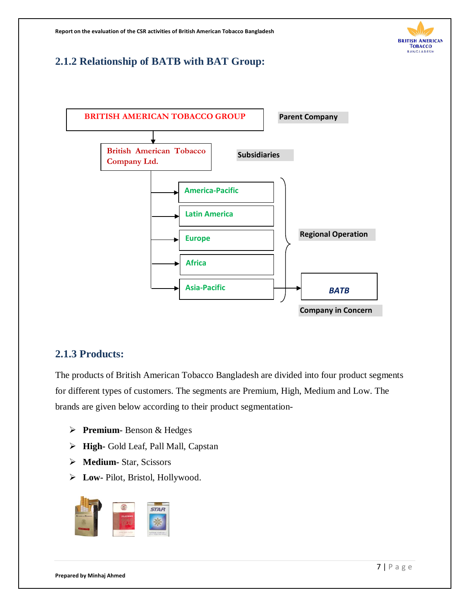

### **2.1.2 Relationship of BATB with BAT Group:**



#### **2.1.3 Products:**

The products of British American Tobacco Bangladesh are divided into four product segments for different types of customers. The segments are Premium, High, Medium and Low. The brands are given below according to their product segmentation-

- **Premium-** Benson & Hedges
- **High-** Gold Leaf, Pall Mall, Capstan
- **Medium-** Star, Scissors
- **Low-** Pilot, Bristol, Hollywood.

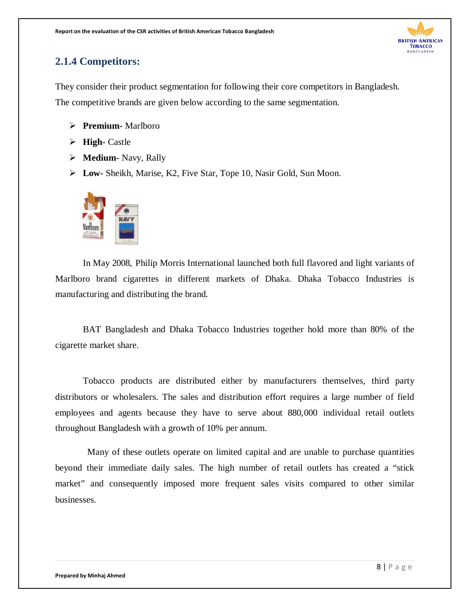

### **2.1.4 Competitors:**

They consider their product segmentation for following their core competitors in Bangladesh. The competitive brands are given below according to the same segmentation.

- **Premium-** Marlboro
- **High-** Castle
- **Medium-** Navy, Rally
- **Low-** Sheikh, Marise, K2, Five Star, Tope 10, Nasir Gold, Sun Moon.



 In May 2008, Philip Morris International launched both full flavored and light variants of Marlboro brand cigarettes in different markets of Dhaka. Dhaka Tobacco Industries is manufacturing and distributing the brand.

BAT Bangladesh and Dhaka Tobacco Industries together hold more than 80% of the cigarette market share.

Tobacco products are distributed either by manufacturers themselves, third party distributors or wholesalers. The sales and distribution effort requires a large number of field employees and agents because they have to serve about 880,000 individual retail outlets throughout Bangladesh with a growth of 10% per annum.

 Many of these outlets operate on limited capital and are unable to purchase quantities beyond their immediate daily sales. The high number of retail outlets has created a "stick market" and consequently imposed more frequent sales visits compared to other similar businesses.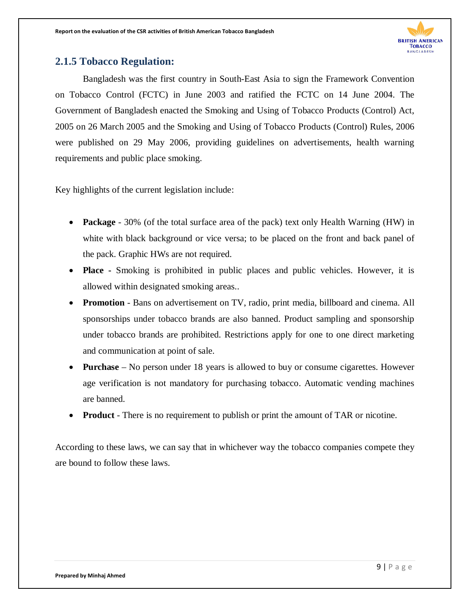

#### **2.1.5 Tobacco Regulation:**

Bangladesh was the first country in South-East Asia to sign the Framework Convention on Tobacco Control (FCTC) in June 2003 and ratified the FCTC on 14 June 2004. The Government of Bangladesh enacted the Smoking and Using of Tobacco Products (Control) Act, 2005 on 26 March 2005 and the Smoking and Using of Tobacco Products (Control) Rules, 2006 were published on 29 May 2006, providing guidelines on advertisements, health warning requirements and public place smoking.

Key highlights of the current legislation include:

- **Package** 30% (of the total surface area of the pack) text only Health Warning (HW) in white with black background or vice versa; to be placed on the front and back panel of the pack. Graphic HWs are not required.
- **Place -** Smoking is prohibited in public places and public vehicles. However, it is allowed within designated smoking areas..
- **Promotion** Bans on advertisement on TV, radio, print media, billboard and cinema. All sponsorships under tobacco brands are also banned. Product sampling and sponsorship under tobacco brands are prohibited. Restrictions apply for one to one direct marketing and communication at point of sale.
- **Purchase** No person under 18 years is allowed to buy or consume cigarettes. However age verification is not mandatory for purchasing tobacco. Automatic vending machines are banned.
- **Product** There is no requirement to publish or print the amount of TAR or nicotine.

According to these laws, we can say that in whichever way the tobacco companies compete they are bound to follow these laws.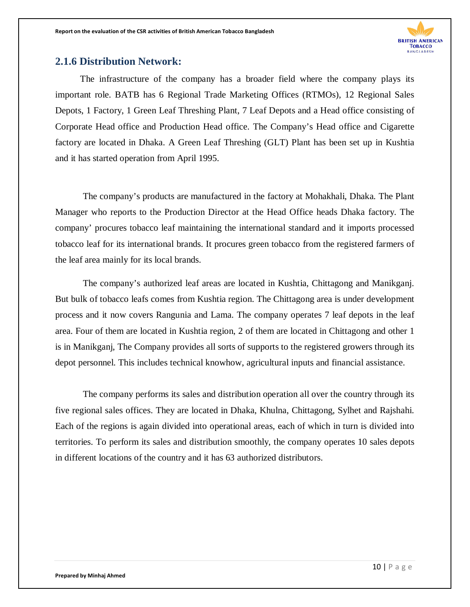

#### **2.1.6 Distribution Network:**

 The infrastructure of the company has a broader field where the company plays its important role. BATB has 6 Regional Trade Marketing Offices (RTMOs), 12 Regional Sales Depots, 1 Factory, 1 Green Leaf Threshing Plant, 7 Leaf Depots and a Head office consisting of Corporate Head office and Production Head office. The Company's Head office and Cigarette factory are located in Dhaka. A Green Leaf Threshing (GLT) Plant has been set up in Kushtia and it has started operation from April 1995.

The company's products are manufactured in the factory at Mohakhali, Dhaka*.* The Plant Manager who reports to the Production Director at the Head Office heads Dhaka factory. The company' procures tobacco leaf maintaining the international standard and it imports processed tobacco leaf for its international brands. It procures green tobacco from the registered farmers of the leaf area mainly for its local brands.

The company's authorized leaf areas are located in Kushtia, Chittagong and Manikganj. But bulk of tobacco leafs comes from Kushtia region. The Chittagong area is under development process and it now covers Rangunia and Lama. The company operates 7 leaf depots in the leaf area. Four of them are located in Kushtia region, 2 of them are located in Chittagong and other 1 is in Manikganj, The Company provides all sorts of supports to the registered growers through its depot personnel. This includes technical knowhow, agricultural inputs and financial assistance.

The company performs its sales and distribution operation all over the country through its five regional sales offices. They are located in Dhaka, Khulna, Chittagong, Sylhet and Rajshahi. Each of the regions is again divided into operational areas, each of which in turn is divided into territories. To perform its sales and distribution smoothly, the company operates 10 sales depots in different locations of the country and it has 63 authorized distributors.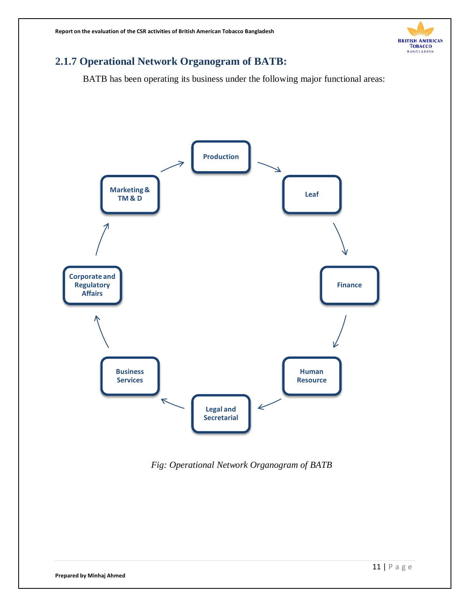

### **2.1.7 Operational Network Organogram of BATB:**

BATB has been operating its business under the following major functional areas:



*Fig: Operational Network Organogram of BATB*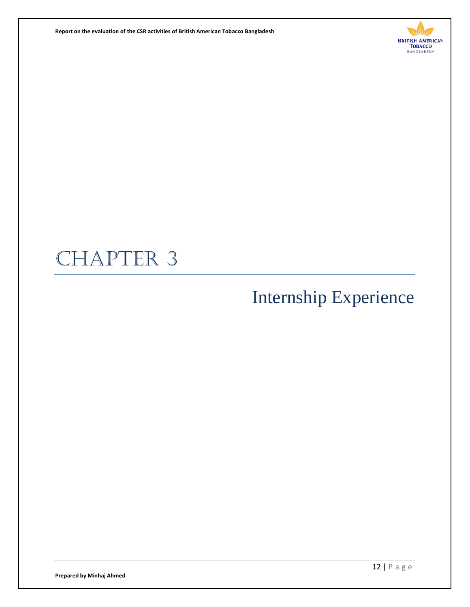**Report on the evaluation of the CSR activities of British American Tobacco Bangladesh** 



# CHAPTER 3

# Internship Experience

**Prepared by Minhaj Ahmed**

12 | Page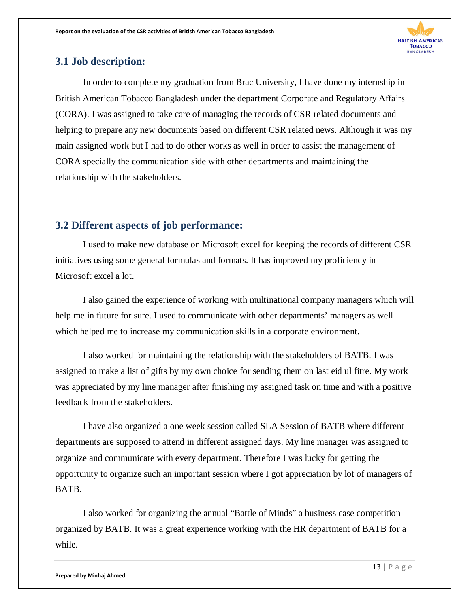

#### **3.1 Job description:**

In order to complete my graduation from Brac University, I have done my internship in British American Tobacco Bangladesh under the department Corporate and Regulatory Affairs (CORA). I was assigned to take care of managing the records of CSR related documents and helping to prepare any new documents based on different CSR related news. Although it was my main assigned work but I had to do other works as well in order to assist the management of CORA specially the communication side with other departments and maintaining the relationship with the stakeholders.

#### **3.2 Different aspects of job performance:**

I used to make new database on Microsoft excel for keeping the records of different CSR initiatives using some general formulas and formats. It has improved my proficiency in Microsoft excel a lot.

I also gained the experience of working with multinational company managers which will help me in future for sure. I used to communicate with other departments' managers as well which helped me to increase my communication skills in a corporate environment.

I also worked for maintaining the relationship with the stakeholders of BATB. I was assigned to make a list of gifts by my own choice for sending them on last eid ul fitre. My work was appreciated by my line manager after finishing my assigned task on time and with a positive feedback from the stakeholders.

I have also organized a one week session called SLA Session of BATB where different departments are supposed to attend in different assigned days. My line manager was assigned to organize and communicate with every department. Therefore I was lucky for getting the opportunity to organize such an important session where I got appreciation by lot of managers of BATB.

I also worked for organizing the annual "Battle of Minds" a business case competition organized by BATB. It was a great experience working with the HR department of BATB for a while.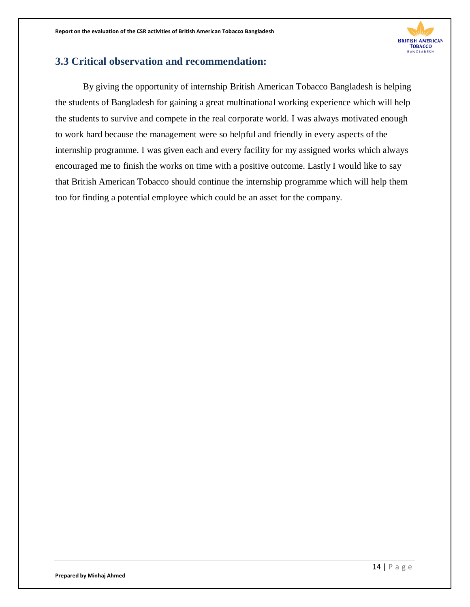

#### **3.3 Critical observation and recommendation:**

By giving the opportunity of internship British American Tobacco Bangladesh is helping the students of Bangladesh for gaining a great multinational working experience which will help the students to survive and compete in the real corporate world. I was always motivated enough to work hard because the management were so helpful and friendly in every aspects of the internship programme. I was given each and every facility for my assigned works which always encouraged me to finish the works on time with a positive outcome. Lastly I would like to say that British American Tobacco should continue the internship programme which will help them too for finding a potential employee which could be an asset for the company.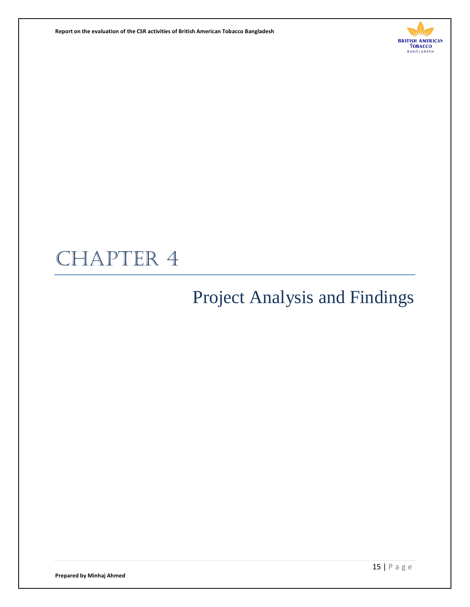**Report on the evaluation of the CSR activities of British American Tobacco Bangladesh** 



# CHAPTER 4

# Project Analysis and Findings

**Prepared by Minhaj Ahmed**

15 | Page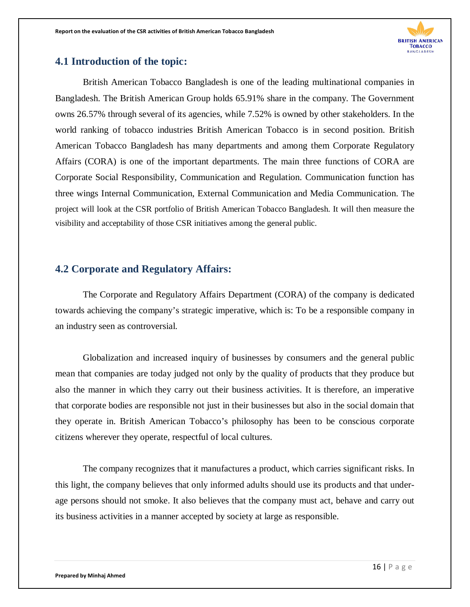

#### **4.1 Introduction of the topic:**

British American Tobacco Bangladesh is one of the leading multinational companies in Bangladesh. The British American Group holds 65.91% share in the company. The Government owns 26.57% through several of its agencies, while 7.52% is owned by other stakeholders. In the world ranking of tobacco industries British American Tobacco is in second position. British American Tobacco Bangladesh has many departments and among them Corporate Regulatory Affairs (CORA) is one of the important departments. The main three functions of CORA are Corporate Social Responsibility, Communication and Regulation. Communication function has three wings Internal Communication, External Communication and Media Communication. The project will look at the CSR portfolio of British American Tobacco Bangladesh. It will then measure the visibility and acceptability of those CSR initiatives among the general public.

#### **4.2 Corporate and Regulatory Affairs:**

The Corporate and Regulatory Affairs Department (CORA) of the company is dedicated towards achieving the company's strategic imperative, which is: To be a responsible company in an industry seen as controversial.

Globalization and increased inquiry of businesses by consumers and the general public mean that companies are today judged not only by the quality of products that they produce but also the manner in which they carry out their business activities. It is therefore, an imperative that corporate bodies are responsible not just in their businesses but also in the social domain that they operate in. British American Tobacco's philosophy has been to be conscious corporate citizens wherever they operate, respectful of local cultures.

The company recognizes that it manufactures a product, which carries significant risks. In this light, the company believes that only informed adults should use its products and that underage persons should not smoke. It also believes that the company must act, behave and carry out its business activities in a manner accepted by society at large as responsible.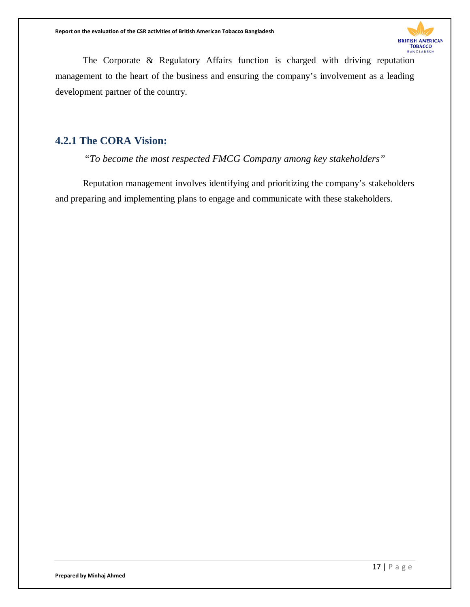

The Corporate & Regulatory Affairs function is charged with driving reputation management to the heart of the business and ensuring the company's involvement as a leading development partner of the country.

### **4.2.1 The CORA Vision:**

*"To become the most respected FMCG Company among key stakeholders"*

Reputation management involves identifying and prioritizing the company's stakeholders and preparing and implementing plans to engage and communicate with these stakeholders.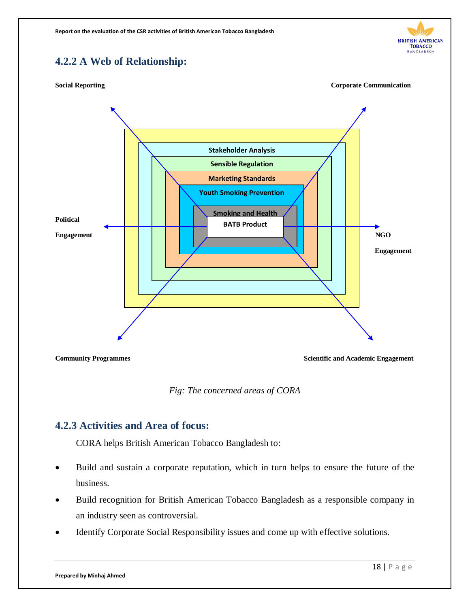#### **BRITISH AMERICAN** Товассо BANGLADESH

### **4.2.2 A Web of Relationship:**





**Community Programmes Scientific and Academic Engagement** 

*Fig: The concerned areas of CORA*

#### **4.2.3 Activities and Area of focus:**

CORA helps British American Tobacco Bangladesh to:

- Build and sustain a corporate reputation, which in turn helps to ensure the future of the business.
- Build recognition for British American Tobacco Bangladesh as a responsible company in an industry seen as controversial.
- Identify Corporate Social Responsibility issues and come up with effective solutions.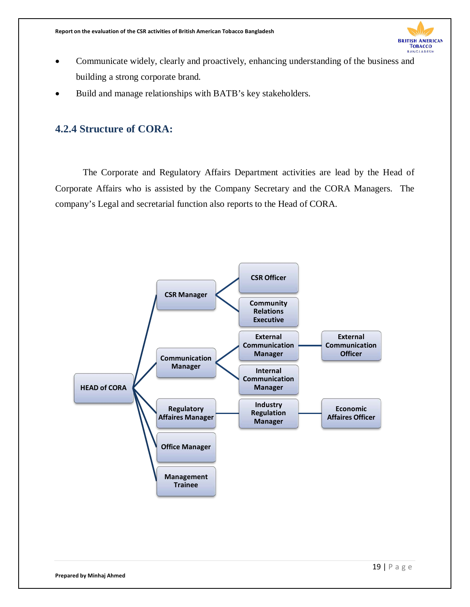

- Communicate widely, clearly and proactively, enhancing understanding of the business and building a strong corporate brand.
- Build and manage relationships with BATB's key stakeholders.

#### **4.2.4 Structure of CORA:**

The Corporate and Regulatory Affairs Department activities are lead by the Head of Corporate Affairs who is assisted by the Company Secretary and the CORA Managers. The company's Legal and secretarial function also reports to the Head of CORA.

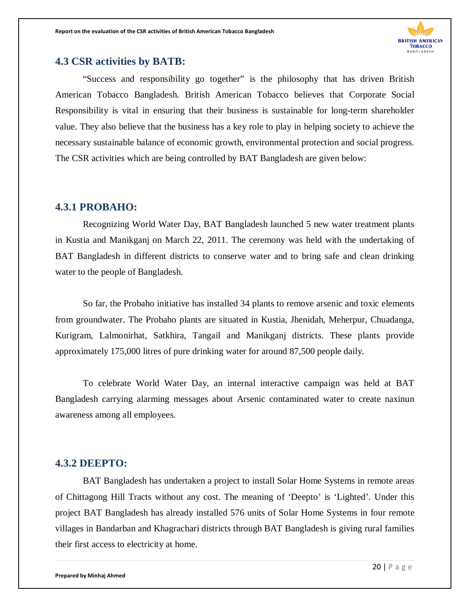

#### **4.3 CSR activities by BATB:**

"Success and responsibility go together" is the philosophy that has driven British American Tobacco Bangladesh. British American Tobacco believes that Corporate Social Responsibility is vital in ensuring that their business is sustainable for long-term shareholder value. They also believe that the business has a key role to play in helping society to achieve the necessary sustainable balance of economic growth, environmental protection and social progress. The CSR activities which are being controlled by BAT Bangladesh are given below:

#### **4.3.1 PROBAHO:**

Recognizing World Water Day, BAT Bangladesh launched 5 new water treatment plants in Kustia and Manikganj on March 22, 2011. The ceremony was held with the undertaking of BAT Bangladesh in different districts to conserve water and to bring safe and clean drinking water to the people of Bangladesh.

So far, the Probaho initiative has installed 34 plants to remove arsenic and toxic elements from groundwater. The Probaho plants are situated in Kustia, Jhenidah, Meherpur, Chuadanga, Kurigram, Lalmonirhat, Satkhira, Tangail and Manikganj districts. These plants provide approximately 175,000 litres of pure drinking water for around 87,500 people daily.

To celebrate World Water Day, an internal interactive campaign was held at BAT Bangladesh carrying alarming messages about Arsenic contaminated water to create naxinun awareness among all employees.

#### **4.3.2 DEEPTO:**

BAT Bangladesh has undertaken a project to install Solar Home Systems in remote areas of Chittagong Hill Tracts without any cost. The meaning of 'Deepto' is 'Lighted'. Under this project BAT Bangladesh has already installed 576 units of Solar Home Systems in four remote villages in Bandarban and Khagrachari districts through BAT Bangladesh is giving rural families their first access to electricity at home.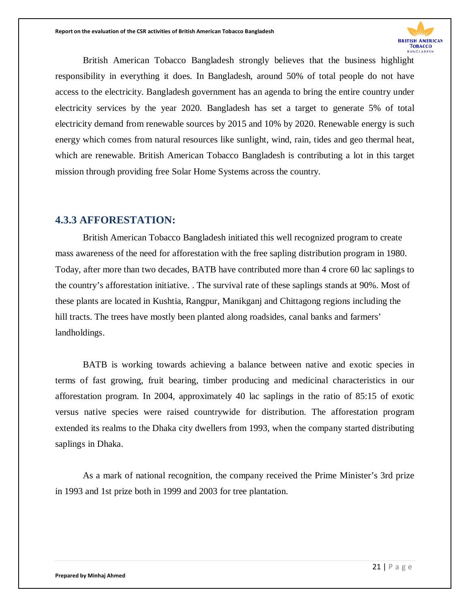

British American Tobacco Bangladesh strongly believes that the business highlight responsibility in everything it does. In Bangladesh, around 50% of total people do not have access to the electricity. Bangladesh government has an agenda to bring the entire country under electricity services by the year 2020. Bangladesh has set a target to generate 5% of total electricity demand from renewable sources by 2015 and 10% by 2020. Renewable energy is such energy which comes from natural resources like sunlight, wind, rain, tides and geo thermal heat, which are renewable. British American Tobacco Bangladesh is contributing a lot in this target mission through providing free Solar Home Systems across the country.

#### **4.3.3 AFFORESTATION:**

British American Tobacco Bangladesh initiated this well recognized program to create mass awareness of the need for afforestation with the free sapling distribution program in 1980. Today, after more than two decades, BATB have contributed more than 4 crore 60 lac saplings to the country's afforestation initiative. . The survival rate of these saplings stands at 90%. Most of these plants are located in Kushtia, Rangpur, Manikganj and Chittagong regions including the hill tracts. The trees have mostly been planted along roadsides, canal banks and farmers' landholdings.

BATB is working towards achieving a balance between native and exotic species in terms of fast growing, fruit bearing, timber producing and medicinal characteristics in our afforestation program. In 2004, approximately 40 lac saplings in the ratio of 85:15 of exotic versus native species were raised countrywide for distribution. The afforestation program extended its realms to the Dhaka city dwellers from 1993, when the company started distributing saplings in Dhaka.

As a mark of national recognition, the company received the Prime Minister's 3rd prize in 1993 and 1st prize both in 1999 and 2003 for tree plantation.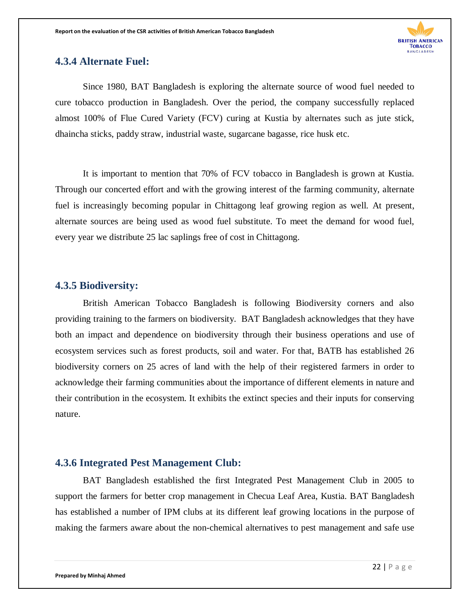

#### **4.3.4 Alternate Fuel:**

Since 1980, BAT Bangladesh is exploring the alternate source of wood fuel needed to cure tobacco production in Bangladesh. Over the period, the company successfully replaced almost 100% of Flue Cured Variety (FCV) curing at Kustia by alternates such as jute stick, dhaincha sticks, paddy straw, industrial waste, sugarcane bagasse, rice husk etc.

It is important to mention that 70% of FCV tobacco in Bangladesh is grown at Kustia. Through our concerted effort and with the growing interest of the farming community, alternate fuel is increasingly becoming popular in Chittagong leaf growing region as well. At present, alternate sources are being used as wood fuel substitute. To meet the demand for wood fuel, every year we distribute 25 lac saplings free of cost in Chittagong.

#### **4.3.5 Biodiversity:**

British American Tobacco Bangladesh is following Biodiversity corners and also providing training to the farmers on biodiversity. BAT Bangladesh acknowledges that they have both an impact and dependence on biodiversity through their business operations and use of ecosystem services such as forest products, soil and water. For that, BATB has established 26 biodiversity corners on 25 acres of land with the help of their registered farmers in order to acknowledge their farming communities about the importance of different elements in nature and their contribution in the ecosystem. It exhibits the extinct species and their inputs for conserving nature.

#### **4.3.6 Integrated Pest Management Club:**

BAT Bangladesh established the first Integrated Pest Management Club in 2005 to support the farmers for better crop management in Checua Leaf Area, Kustia. BAT Bangladesh has established a number of IPM clubs at its different leaf growing locations in the purpose of making the farmers aware about the non-chemical alternatives to pest management and safe use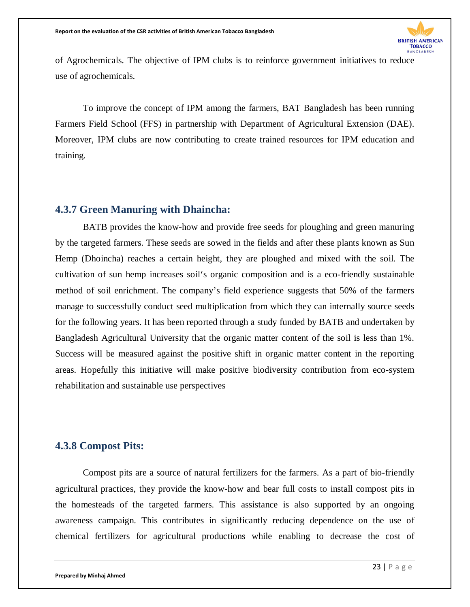

of Agrochemicals. The objective of IPM clubs is to reinforce government initiatives to reduce use of agrochemicals.

To improve the concept of IPM among the farmers, BAT Bangladesh has been running Farmers Field School (FFS) in partnership with Department of Agricultural Extension (DAE). Moreover, IPM clubs are now contributing to create trained resources for IPM education and training.

#### **4.3.7 Green Manuring with Dhaincha:**

BATB provides the know-how and provide free seeds for ploughing and green manuring by the targeted farmers. These seeds are sowed in the fields and after these plants known as Sun Hemp (Dhoincha) reaches a certain height, they are ploughed and mixed with the soil. The cultivation of sun hemp increases soil's organic composition and is a eco-friendly sustainable method of soil enrichment. The company's field experience suggests that 50% of the farmers manage to successfully conduct seed multiplication from which they can internally source seeds for the following years. It has been reported through a study funded by BATB and undertaken by Bangladesh Agricultural University that the organic matter content of the soil is less than 1%. Success will be measured against the positive shift in organic matter content in the reporting areas. Hopefully this initiative will make positive biodiversity contribution from eco-system rehabilitation and sustainable use perspectives

#### **4.3.8 Compost Pits:**

Compost pits are a source of natural fertilizers for the farmers. As a part of bio-friendly agricultural practices, they provide the know-how and bear full costs to install compost pits in the homesteads of the targeted farmers. This assistance is also supported by an ongoing awareness campaign. This contributes in significantly reducing dependence on the use of chemical fertilizers for agricultural productions while enabling to decrease the cost of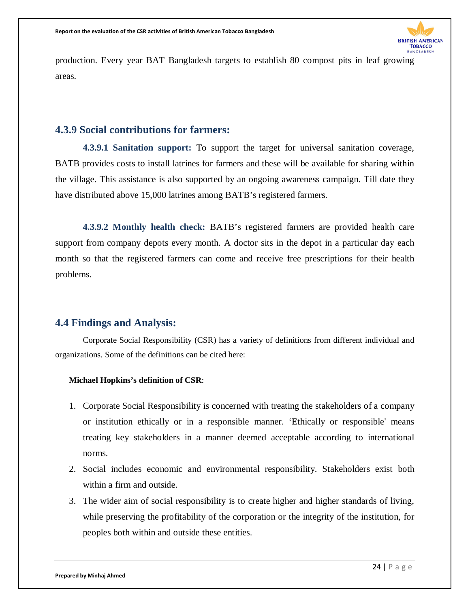

production. Every year BAT Bangladesh targets to establish 80 compost pits in leaf growing areas.

#### **4.3.9 Social contributions for farmers:**

**4.3.9.1 Sanitation support:** To support the target for universal sanitation coverage, BATB provides costs to install latrines for farmers and these will be available for sharing within the village. This assistance is also supported by an ongoing awareness campaign. Till date they have distributed above 15,000 latrines among BATB's registered farmers.

**4.3.9.2 Monthly health check:** BATB's registered farmers are provided health care support from company depots every month. A doctor sits in the depot in a particular day each month so that the registered farmers can come and receive free prescriptions for their health problems.

#### **4.4 Findings and Analysis:**

Corporate Social Responsibility (CSR) has a variety of definitions from different individual and organizations. Some of the definitions can be cited here:

#### **Michael Hopkins's definition of CSR**:

- 1. Corporate Social Responsibility is concerned with treating the stakeholders of a company or institution ethically or in a responsible manner. 'Ethically or responsible' means treating key stakeholders in a manner deemed acceptable according to international norms.
- 2. Social includes economic and environmental responsibility. Stakeholders exist both within a firm and outside.
- 3. The wider aim of social responsibility is to create higher and higher standards of living, while preserving the profitability of the corporation or the integrity of the institution, for peoples both within and outside these entities.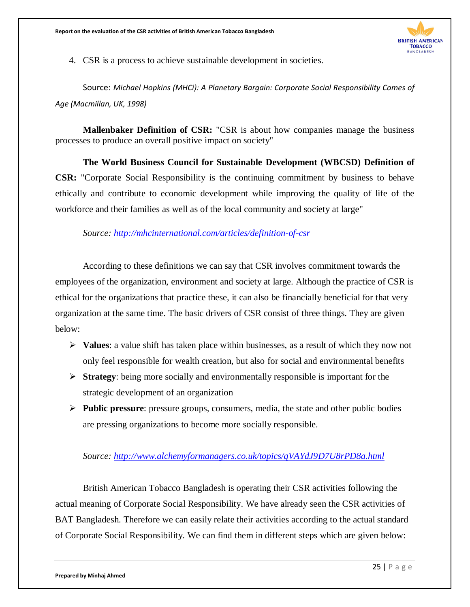

4. CSR is a process to achieve sustainable development in societies.

Source: *Michael Hopkins (MHCi): A Planetary Bargain: Corporate Social Responsibility Comes of Age (Macmillan, UK, 1998)*

**Mallenbaker Definition of CSR:** "CSR is about how companies manage the business processes to produce an overall positive impact on society"

**The World Business Council for Sustainable Development (WBCSD) Definition of CSR:** "Corporate Social Responsibility is the continuing commitment by business to behave ethically and contribute to economic development while improving the quality of life of the workforce and their families as well as of the local community and society at large"

*Source: <http://mhcinternational.com/articles/definition-of-csr>*

According to these definitions we can say that CSR involves commitment towards the employees of the organization, environment and society at large. Although the practice of CSR is ethical for the organizations that practice these, it can also be financially beneficial for that very organization at the same time. The basic drivers of CSR consist of three things. They are given below:

- **Values**: a value shift has taken place within businesses, as a result of which they now not only feel responsible for wealth creation, but also for social and environmental benefits
- **Strategy**: being more socially and environmentally responsible is important for the strategic development of an organization
- **Public pressure**: pressure groups, consumers, media, the state and other public bodies are pressing organizations to become more socially responsible.

#### *Source:<http://www.alchemyformanagers.co.uk/topics/qVAYdJ9D7U8rPD8a.html>*

British American Tobacco Bangladesh is operating their CSR activities following the actual meaning of Corporate Social Responsibility. We have already seen the CSR activities of BAT Bangladesh. Therefore we can easily relate their activities according to the actual standard of Corporate Social Responsibility. We can find them in different steps which are given below: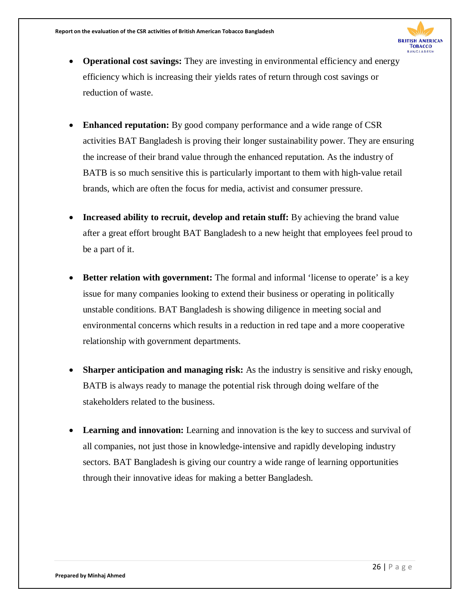

- **Operational cost savings:** They are investing in environmental efficiency and energy efficiency which is increasing their yields rates of return through cost savings or reduction of waste.
- **Enhanced reputation:** By good company performance and a wide range of CSR activities BAT Bangladesh is proving their longer sustainability power. They are ensuring the increase of their brand value through the enhanced reputation. As the industry of BATB is so much sensitive this is particularly important to them with high-value retail brands, which are often the focus for media, activist and consumer pressure.
- **Increased ability to recruit, develop and retain stuff:** By achieving the brand value after a great effort brought BAT Bangladesh to a new height that employees feel proud to be a part of it.
- **Better relation with government:** The formal and informal 'license to operate' is a key issue for many companies looking to extend their business or operating in politically unstable conditions. BAT Bangladesh is showing diligence in meeting social and environmental concerns which results in a reduction in red tape and a more cooperative relationship with government departments.
- **Sharper anticipation and managing risk:** As the industry is sensitive and risky enough, BATB is always ready to manage the potential risk through doing welfare of the stakeholders related to the business.
- **Learning and innovation:** Learning and innovation is the key to success and survival of all companies, not just those in knowledge-intensive and rapidly developing industry sectors. BAT Bangladesh is giving our country a wide range of learning opportunities through their innovative ideas for making a better Bangladesh.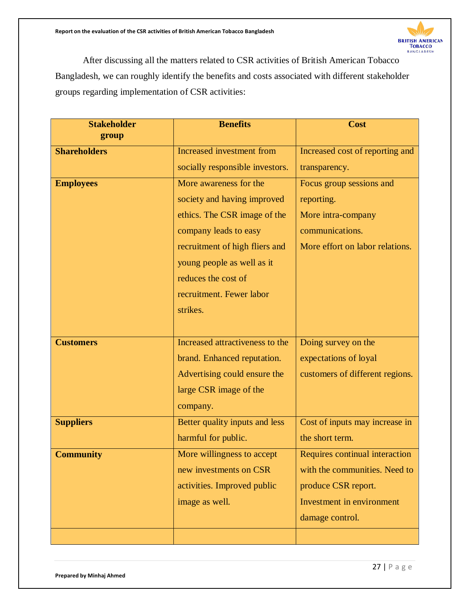

After discussing all the matters related to CSR activities of British American Tobacco Bangladesh, we can roughly identify the benefits and costs associated with different stakeholder groups regarding implementation of CSR activities:

| <b>Stakeholder</b>  | <b>Benefits</b>                  | <b>Cost</b>                     |
|---------------------|----------------------------------|---------------------------------|
| group               |                                  |                                 |
| <b>Shareholders</b> | <b>Increased</b> investment from | Increased cost of reporting and |
|                     | socially responsible investors.  | transparency.                   |
| <b>Employees</b>    | More awareness for the           | Focus group sessions and        |
|                     | society and having improved      | reporting.                      |
|                     | ethics. The CSR image of the     | More intra-company              |
|                     | company leads to easy            | communications.                 |
|                     | recruitment of high fliers and   | More effort on labor relations. |
|                     | young people as well as it       |                                 |
|                     | reduces the cost of              |                                 |
|                     | recruitment. Fewer labor         |                                 |
|                     | strikes.                         |                                 |
|                     |                                  |                                 |
| <b>Customers</b>    | Increased attractiveness to the  | Doing survey on the             |
|                     | brand. Enhanced reputation.      | expectations of loyal           |
|                     | Advertising could ensure the     | customers of different regions. |
|                     | large CSR image of the           |                                 |
|                     | company.                         |                                 |
| <b>Suppliers</b>    | Better quality inputs and less   | Cost of inputs may increase in  |
|                     | harmful for public.              | the short term.                 |
| <b>Community</b>    | More willingness to accept       | Requires continual interaction  |
|                     | new investments on CSR           | with the communities. Need to   |
|                     | activities. Improved public      | produce CSR report.             |
|                     | image as well.                   | Investment in environment       |
|                     |                                  | damage control.                 |
|                     |                                  |                                 |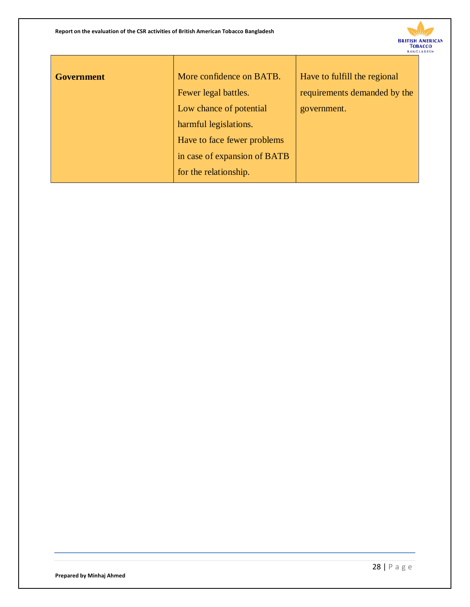

| <b>Government</b> | More confidence on BATB.     | Have to fulfill the regional |  |
|-------------------|------------------------------|------------------------------|--|
|                   | Fewer legal battles.         | requirements demanded by the |  |
|                   | Low chance of potential      | government.                  |  |
|                   | harmful legislations.        |                              |  |
|                   | Have to face fewer problems  |                              |  |
|                   | in case of expansion of BATB |                              |  |
|                   | for the relationship.        |                              |  |
|                   |                              |                              |  |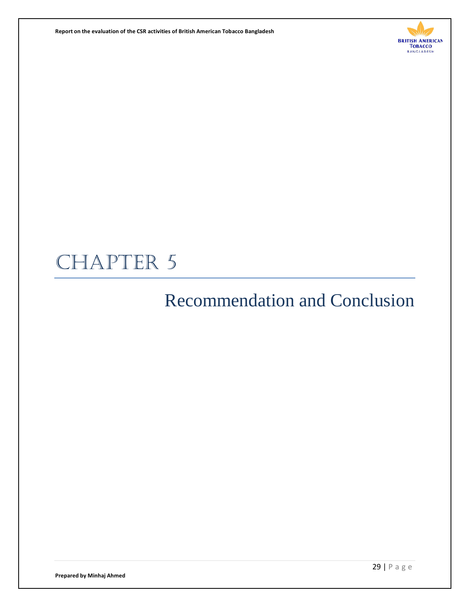**Report on the evaluation of the CSR activities of British American Tobacco Bangladesh** 



# CHAPTER 5

# Recommendation and Conclusion

**Prepared by Minhaj Ahmed**

29 | Page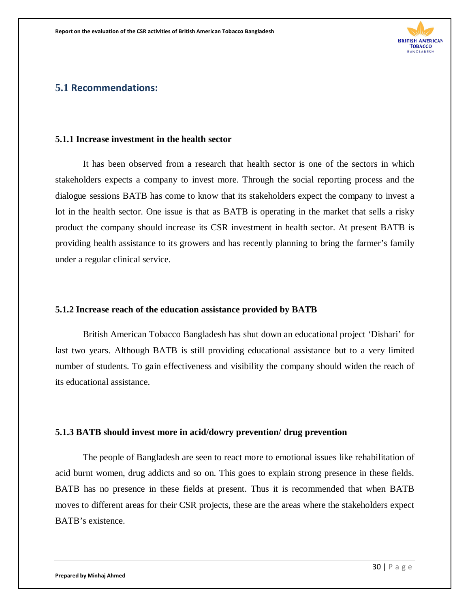

#### **5.1 Recommendations:**

#### **5.1.1 Increase investment in the health sector**

It has been observed from a research that health sector is one of the sectors in which stakeholders expects a company to invest more. Through the social reporting process and the dialogue sessions BATB has come to know that its stakeholders expect the company to invest a lot in the health sector. One issue is that as BATB is operating in the market that sells a risky product the company should increase its CSR investment in health sector. At present BATB is providing health assistance to its growers and has recently planning to bring the farmer's family under a regular clinical service.

#### **5.1.2 Increase reach of the education assistance provided by BATB**

British American Tobacco Bangladesh has shut down an educational project 'Dishari' for last two years. Although BATB is still providing educational assistance but to a very limited number of students. To gain effectiveness and visibility the company should widen the reach of its educational assistance.

#### **5.1.3 BATB should invest more in acid/dowry prevention/ drug prevention**

The people of Bangladesh are seen to react more to emotional issues like rehabilitation of acid burnt women, drug addicts and so on. This goes to explain strong presence in these fields. BATB has no presence in these fields at present. Thus it is recommended that when BATB moves to different areas for their CSR projects, these are the areas where the stakeholders expect BATB's existence.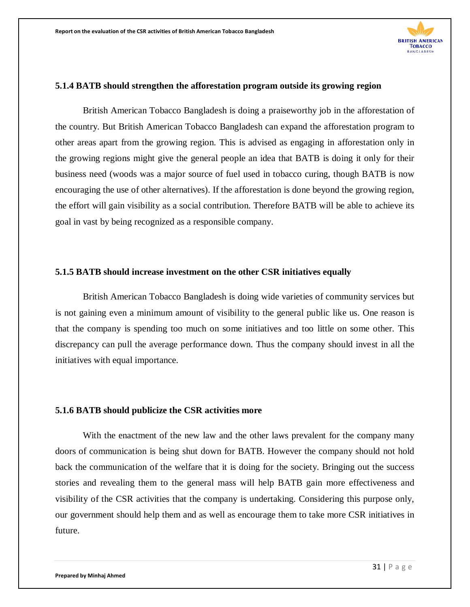

#### **5.1.4 BATB should strengthen the afforestation program outside its growing region**

British American Tobacco Bangladesh is doing a praiseworthy job in the afforestation of the country. But British American Tobacco Bangladesh can expand the afforestation program to other areas apart from the growing region. This is advised as engaging in afforestation only in the growing regions might give the general people an idea that BATB is doing it only for their business need (woods was a major source of fuel used in tobacco curing, though BATB is now encouraging the use of other alternatives). If the afforestation is done beyond the growing region, the effort will gain visibility as a social contribution. Therefore BATB will be able to achieve its goal in vast by being recognized as a responsible company.

#### **5.1.5 BATB should increase investment on the other CSR initiatives equally**

British American Tobacco Bangladesh is doing wide varieties of community services but is not gaining even a minimum amount of visibility to the general public like us. One reason is that the company is spending too much on some initiatives and too little on some other. This discrepancy can pull the average performance down. Thus the company should invest in all the initiatives with equal importance.

#### **5.1.6 BATB should publicize the CSR activities more**

With the enactment of the new law and the other laws prevalent for the company many doors of communication is being shut down for BATB. However the company should not hold back the communication of the welfare that it is doing for the society. Bringing out the success stories and revealing them to the general mass will help BATB gain more effectiveness and visibility of the CSR activities that the company is undertaking. Considering this purpose only, our government should help them and as well as encourage them to take more CSR initiatives in future.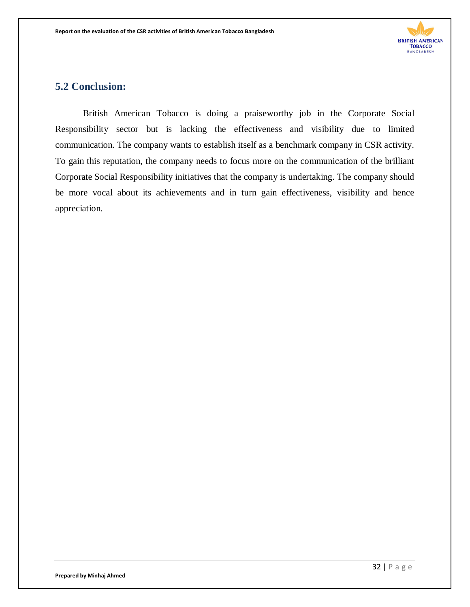

#### **5.2 Conclusion:**

British American Tobacco is doing a praiseworthy job in the Corporate Social Responsibility sector but is lacking the effectiveness and visibility due to limited communication. The company wants to establish itself as a benchmark company in CSR activity. To gain this reputation, the company needs to focus more on the communication of the brilliant Corporate Social Responsibility initiatives that the company is undertaking. The company should be more vocal about its achievements and in turn gain effectiveness, visibility and hence appreciation.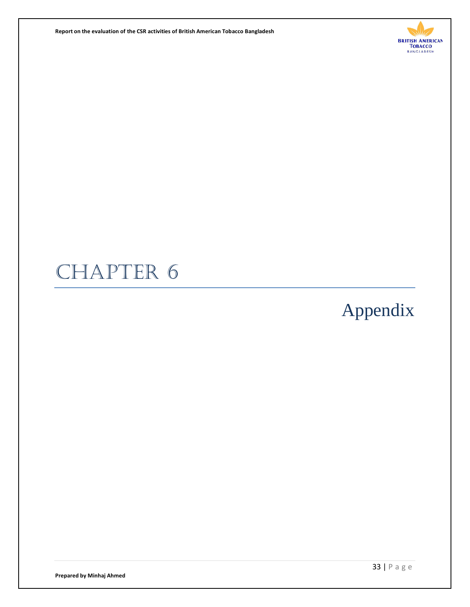**Report on the evaluation of the CSR activities of British American Tobacco Bangladesh** 



# CHAPTER 6

# Appendix

**Prepared by Minhaj Ahmed**

33 | Page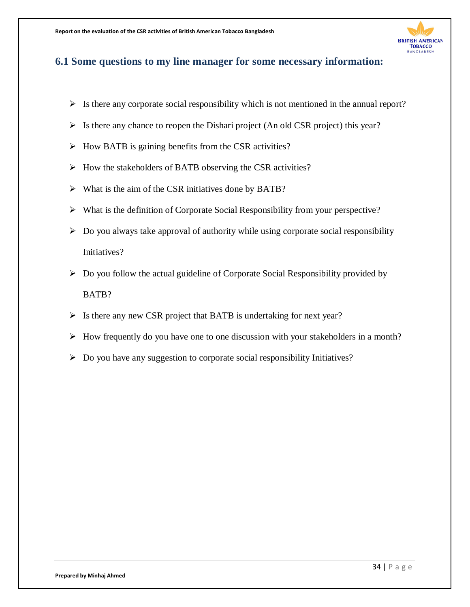

#### **6.1 Some questions to my line manager for some necessary information:**

- $\triangleright$  Is there any corporate social responsibility which is not mentioned in the annual report?
- $\triangleright$  Is there any chance to reopen the Dishari project (An old CSR project) this year?
- $\triangleright$  How BATB is gaining benefits from the CSR activities?
- $\triangleright$  How the stakeholders of BATB observing the CSR activities?
- $\triangleright$  What is the aim of the CSR initiatives done by BATB?
- What is the definition of Corporate Social Responsibility from your perspective?
- $\triangleright$  Do you always take approval of authority while using corporate social responsibility Initiatives?
- $\triangleright$  Do you follow the actual guideline of Corporate Social Responsibility provided by BATB?
- $\triangleright$  Is there any new CSR project that BATB is undertaking for next year?
- $\triangleright$  How frequently do you have one to one discussion with your stakeholders in a month?
- $\triangleright$  Do you have any suggestion to corporate social responsibility Initiatives?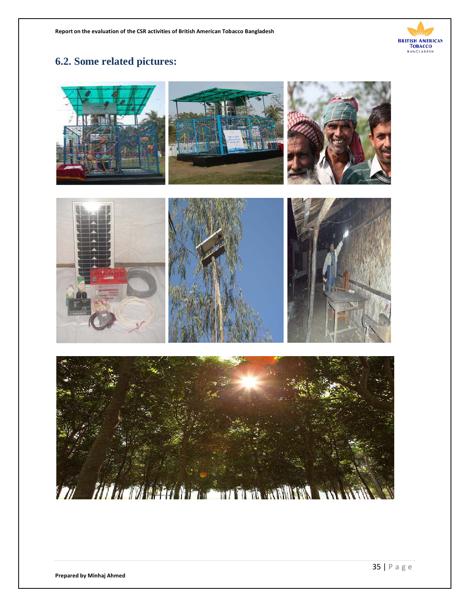

### **6.2. Some related pictures:**

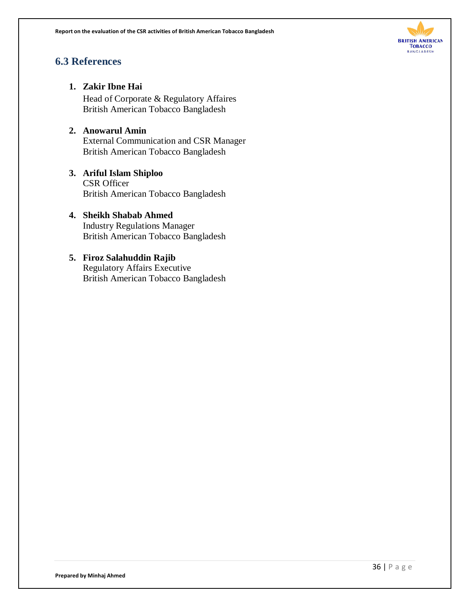

### **6.3 References**

#### **1. Zakir Ibne Hai**

Head of Corporate & Regulatory Affaires British American Tobacco Bangladesh

#### **2. Anowarul Amin**

External Communication and CSR Manager British American Tobacco Bangladesh

#### **3. Ariful Islam Shiploo** CSR Officer

British American Tobacco Bangladesh

#### **4. Sheikh Shabab Ahmed**

Industry Regulations Manager British American Tobacco Bangladesh

### **5. Firoz Salahuddin Rajib** Regulatory Affairs Executive

British American Tobacco Bangladesh